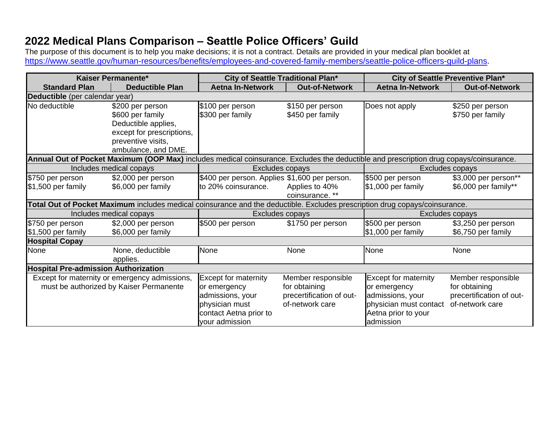## **2022 Medical Plans Comparison – Seattle Police Officers' Guild**

The purpose of this document is to help you make decisions; it is not a contract. Details are provided in your medical plan booklet at [https://www.seattle.gov/human-resources/benefits/employees-and-covered-family-members/seattle-police-officers-guild-plans.](https://www.seattle.gov/human-resources/benefits/employees-and-covered-family-members/seattle-police-officers-guild-plans)

| Kaiser Permanente*                          |                                                                                                                                        | City of Seattle Traditional Plan*                |                                      | City of Seattle Preventive Plan*       |                                          |  |
|---------------------------------------------|----------------------------------------------------------------------------------------------------------------------------------------|--------------------------------------------------|--------------------------------------|----------------------------------------|------------------------------------------|--|
| <b>Standard Plan</b>                        | <b>Deductible Plan</b>                                                                                                                 | <b>Aetna In-Network</b><br><b>Out-of-Network</b> |                                      | <b>Aetna In-Network</b>                | <b>Out-of-Network</b>                    |  |
| Deductible (per calendar year)              |                                                                                                                                        |                                                  |                                      |                                        |                                          |  |
| No deductible                               | \$200 per person<br>\$600 per family<br>Deductible applies,<br>except for prescriptions,<br>preventive visits,<br>ambulance, and DME.  | \$100 per person<br>\$300 per family             | \$150 per person<br>\$450 per family | Does not apply                         | \$250 per person<br>\$750 per family     |  |
|                                             | Annual Out of Pocket Maximum (OOP Max) includes medical coinsurance. Excludes the deductible and prescription drug copays/coinsurance. |                                                  |                                      |                                        |                                          |  |
|                                             | Includes medical copays                                                                                                                |                                                  | Excludes copays                      | Excludes copays                        |                                          |  |
| \$750 per person                            | \$2,000 per person                                                                                                                     | \$400 per person. Applies \$1,600 per person.    |                                      | \$500 per person                       | \$3,000 per person**                     |  |
| $$1,500$ per family                         | \$6,000 per family                                                                                                                     | to 20% coinsurance.                              | Applies to 40%                       | \$1,000 per family                     | \$6,000 per family**                     |  |
|                                             |                                                                                                                                        |                                                  | coinsurance. **                      |                                        |                                          |  |
|                                             | Total Out of Pocket Maximum includes medical coinsurance and the deductible. Excludes prescription drug copays/coinsurance.            |                                                  |                                      |                                        |                                          |  |
|                                             | Includes medical copays                                                                                                                | Excludes copays                                  |                                      | Excludes copays                        |                                          |  |
| \$750 per person<br>$$1,500$ per family     | \$2,000 per person<br>\$6,000 per family                                                                                               | \$500 per person                                 | \$1750 per person                    | \$500 per person<br>\$1,000 per family | \$3,250 per person<br>\$6,750 per family |  |
| <b>Hospital Copay</b>                       |                                                                                                                                        |                                                  |                                      |                                        |                                          |  |
| None                                        | None, deductible                                                                                                                       | None                                             | None                                 | None                                   | None                                     |  |
|                                             | applies.                                                                                                                               |                                                  |                                      |                                        |                                          |  |
| <b>Hospital Pre-admission Authorization</b> |                                                                                                                                        |                                                  |                                      |                                        |                                          |  |
|                                             | Except for maternity or emergency admissions,                                                                                          | <b>Except for maternity</b>                      | Member responsible                   | <b>Except for maternity</b>            | Member responsible                       |  |
| must be authorized by Kaiser Permanente     |                                                                                                                                        | or emergency                                     | for obtaining                        | or emergency                           | for obtaining                            |  |
|                                             |                                                                                                                                        | admissions, your                                 | precertification of out-             | admissions, your                       | precertification of out-                 |  |
|                                             |                                                                                                                                        | physician must                                   | of-network care                      | physician must contact                 | of-network care                          |  |
|                                             |                                                                                                                                        | contact Aetna prior to                           |                                      | Aetna prior to your                    |                                          |  |
|                                             |                                                                                                                                        | your admission                                   |                                      | admission                              |                                          |  |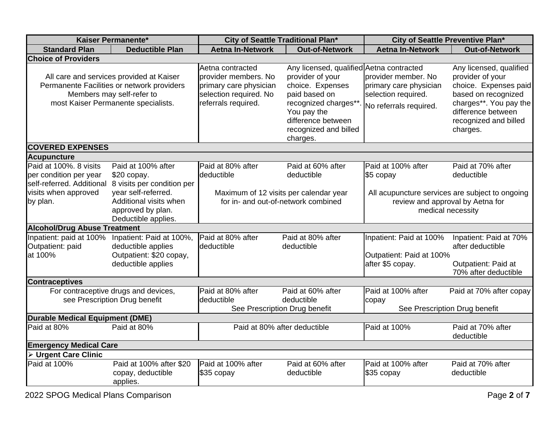| Kaiser Permanente*                                                                                                                                         |                                                                                                 | City of Seattle Traditional Plan*                                                                                   |                                                                                                                                                                                                     | City of Seattle Preventive Plan*                                                                         |                                                                                                                                                                                  |  |  |
|------------------------------------------------------------------------------------------------------------------------------------------------------------|-------------------------------------------------------------------------------------------------|---------------------------------------------------------------------------------------------------------------------|-----------------------------------------------------------------------------------------------------------------------------------------------------------------------------------------------------|----------------------------------------------------------------------------------------------------------|----------------------------------------------------------------------------------------------------------------------------------------------------------------------------------|--|--|
| <b>Standard Plan</b>                                                                                                                                       | <b>Deductible Plan</b>                                                                          | <b>Aetna In-Network</b>                                                                                             | <b>Out-of-Network</b>                                                                                                                                                                               | <b>Aetna In-Network</b>                                                                                  | <b>Out-of-Network</b>                                                                                                                                                            |  |  |
| <b>Choice of Providers</b>                                                                                                                                 |                                                                                                 |                                                                                                                     |                                                                                                                                                                                                     |                                                                                                          |                                                                                                                                                                                  |  |  |
| All care and services provided at Kaiser<br>Permanente Facilities or network providers<br>Members may self-refer to<br>most Kaiser Permanente specialists. |                                                                                                 | Aetna contracted<br>provider members. No<br>primary care physician<br>selection required. No<br>referrals required. | Any licensed, qualified Aetna contracted<br>provider of your<br>choice. Expenses<br>paid based on<br>recognized charges**<br>You pay the<br>difference between<br>recognized and billed<br>charges. | provider member. No<br>primary care physician<br>selection required.<br>No referrals required.           | Any licensed, qualified<br>provider of your<br>choice. Expenses paid<br>based on recognized<br>charges**. You pay the<br>difference between<br>recognized and billed<br>charges. |  |  |
| <b>COVERED EXPENSES</b>                                                                                                                                    |                                                                                                 |                                                                                                                     |                                                                                                                                                                                                     |                                                                                                          |                                                                                                                                                                                  |  |  |
| <b>Acupuncture</b>                                                                                                                                         |                                                                                                 |                                                                                                                     |                                                                                                                                                                                                     |                                                                                                          |                                                                                                                                                                                  |  |  |
| Paid at 100%. 8 visits<br>per condition per year<br>self-referred. Additional                                                                              | Paid at 100% after<br>$$20$ copay.<br>8 visits per condition per                                | Paid at 80% after<br>deductible                                                                                     | Paid at 60% after<br>deductible                                                                                                                                                                     | Paid at 100% after<br>\$5 copay                                                                          | Paid at 70% after<br>deductible                                                                                                                                                  |  |  |
| year self-referred.<br>visits when approved<br>Additional visits when<br>by plan.<br>approved by plan.<br>Deductible applies.                              |                                                                                                 | Maximum of 12 visits per calendar year<br>for in- and out-of-network combined                                       |                                                                                                                                                                                                     | All acupuncture services are subject to ongoing<br>review and approval by Aetna for<br>medical necessity |                                                                                                                                                                                  |  |  |
| <b>Alcohol/Drug Abuse Treatment</b>                                                                                                                        |                                                                                                 |                                                                                                                     |                                                                                                                                                                                                     |                                                                                                          |                                                                                                                                                                                  |  |  |
| Inpatient: paid at 100%<br>Outpatient: paid<br>at 100%                                                                                                     | Inpatient: Paid at 100%,<br>deductible applies<br>Outpatient: \$20 copay,<br>deductible applies | Paid at 80% after<br><b>deductible</b>                                                                              | Paid at 80% after<br>deductible                                                                                                                                                                     | Inpatient: Paid at 100%<br>Outpatient: Paid at 100%<br>after \$5 copay.                                  | Inpatient: Paid at 70%<br>after deductible<br><b>Outpatient: Paid at</b><br>70% after deductible                                                                                 |  |  |
| <b>Contraceptives</b>                                                                                                                                      |                                                                                                 |                                                                                                                     |                                                                                                                                                                                                     |                                                                                                          |                                                                                                                                                                                  |  |  |
| For contraceptive drugs and devices,<br>see Prescription Drug benefit                                                                                      |                                                                                                 | Paid at 80% after<br>deductible<br>See Prescription Drug benefit                                                    | Paid at 60% after<br>deductible                                                                                                                                                                     | Paid at 100% after<br>copay<br>See Prescription Drug benefit                                             | Paid at 70% after copay                                                                                                                                                          |  |  |
| <b>Durable Medical Equipment (DME)</b>                                                                                                                     |                                                                                                 |                                                                                                                     |                                                                                                                                                                                                     |                                                                                                          |                                                                                                                                                                                  |  |  |
| Paid at 80%<br>Paid at 80%                                                                                                                                 |                                                                                                 | Paid at 80% after deductible                                                                                        |                                                                                                                                                                                                     | Paid at 100%                                                                                             | Paid at 70% after<br>deductible                                                                                                                                                  |  |  |
| <b>Emergency Medical Care</b>                                                                                                                              |                                                                                                 |                                                                                                                     |                                                                                                                                                                                                     |                                                                                                          |                                                                                                                                                                                  |  |  |
| > Urgent Care Clinic                                                                                                                                       |                                                                                                 |                                                                                                                     |                                                                                                                                                                                                     |                                                                                                          |                                                                                                                                                                                  |  |  |
| Paid at 100%                                                                                                                                               | Paid at 100% after \$20<br>copay, deductible<br>applies.                                        | Paid at 100% after<br>\$35 copay                                                                                    | Paid at 60% after<br>deductible                                                                                                                                                                     | Paid at 100% after<br>\$35 copay                                                                         | Paid at 70% after<br>deductible                                                                                                                                                  |  |  |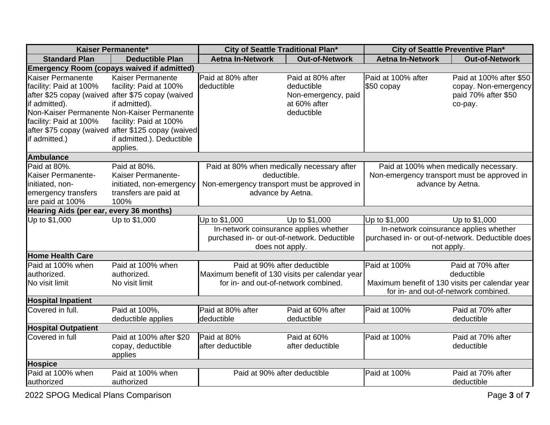| Kaiser Permanente*                      |                                                    | City of Seattle Traditional Plan*                              |                     | City of Seattle Preventive Plan*                                                        |                                                  |
|-----------------------------------------|----------------------------------------------------|----------------------------------------------------------------|---------------------|-----------------------------------------------------------------------------------------|--------------------------------------------------|
| <b>Standard Plan</b>                    | <b>Deductible Plan</b>                             | <b>Aetna In-Network</b><br><b>Out-of-Network</b>               |                     | <b>Aetna In-Network</b>                                                                 | <b>Out-of-Network</b>                            |
|                                         | <b>Emergency Room (copays waived if admitted)</b>  |                                                                |                     |                                                                                         |                                                  |
| Kaiser Permanente                       | Kaiser Permanente                                  | Paid at 80% after                                              | Paid at 80% after   | Paid at 100% after                                                                      | Paid at 100% after \$50                          |
| facility: Paid at 100%                  | facility: Paid at 100%                             | deductible                                                     | deductible          | \$50 copay                                                                              | copay. Non-emergency                             |
|                                         | after \$25 copay (waived after \$75 copay (waived  |                                                                | Non-emergency, paid |                                                                                         | paid 70% after \$50                              |
| if admitted).                           | if admitted).                                      |                                                                | at 60% after        |                                                                                         | co-pay.                                          |
|                                         | Non-Kaiser Permanente Non-Kaiser Permanente        |                                                                | deductible          |                                                                                         |                                                  |
| facility: Paid at 100%                  | facility: Paid at 100%                             |                                                                |                     |                                                                                         |                                                  |
|                                         | after \$75 copay (waived after \$125 copay (waived |                                                                |                     |                                                                                         |                                                  |
| if admitted.)                           | if admitted.). Deductible                          |                                                                |                     |                                                                                         |                                                  |
|                                         | applies.                                           |                                                                |                     |                                                                                         |                                                  |
| <b>Ambulance</b>                        |                                                    |                                                                |                     |                                                                                         |                                                  |
| Paid at 80%.                            | Paid at 80%.                                       | Paid at 80% when medically necessary after                     |                     | Paid at 100% when medically necessary.                                                  |                                                  |
| Kaiser Permanente-                      | Kaiser Permanente-                                 | deductible.                                                    |                     | Non-emergency transport must be approved in                                             |                                                  |
| initiated, non-                         | initiated, non-emergency                           | Non-emergency transport must be approved in                    |                     | advance by Aetna.                                                                       |                                                  |
| emergency transfers                     | transfers are paid at                              | advance by Aetna.                                              |                     |                                                                                         |                                                  |
| are paid at 100%                        | 100%                                               |                                                                |                     |                                                                                         |                                                  |
| Hearing Aids (per ear, every 36 months) |                                                    |                                                                |                     |                                                                                         |                                                  |
| Up to \$1,000                           | Up to \$1,000                                      | Up to \$1,000                                                  | Up to \$1,000       | Up to \$1,000                                                                           | Up to \$1,000                                    |
|                                         |                                                    | In-network coinsurance applies whether                         |                     | In-network coinsurance applies whether                                                  |                                                  |
|                                         |                                                    | purchased in- or out-of-network. Deductible<br>does not apply. |                     |                                                                                         | purchased in- or out-of-network. Deductible does |
| <b>Home Health Care</b>                 |                                                    |                                                                |                     | not apply.                                                                              |                                                  |
| Paid at 100% when                       | Paid at 100% when                                  | Paid at 90% after deductible                                   |                     | Paid at 100%                                                                            | Paid at 70% after                                |
| authorized.                             | authorized.                                        | Maximum benefit of 130 visits per calendar year                |                     |                                                                                         | deductible                                       |
| No visit limit                          | No visit limit                                     | for in- and out-of-network combined.                           |                     |                                                                                         |                                                  |
|                                         |                                                    |                                                                |                     | Maximum benefit of 130 visits per calendar year<br>for in- and out-of-network combined. |                                                  |
| <b>Hospital Inpatient</b>               |                                                    |                                                                |                     |                                                                                         |                                                  |
| Covered in full.                        | Paid at 100%,                                      | Paid at 80% after                                              | Paid at 60% after   | Paid at 100%                                                                            | Paid at 70% after                                |
|                                         | deductible applies                                 | deductible                                                     | deductible          |                                                                                         | deductible                                       |
| <b>Hospital Outpatient</b>              |                                                    |                                                                |                     |                                                                                         |                                                  |
| Covered in full                         | Paid at 100% after \$20                            | Paid at 80%                                                    | Paid at 60%         | Paid at 100%                                                                            | Paid at 70% after                                |
|                                         | copay, deductible                                  | after deductible                                               | after deductible    |                                                                                         | deductible                                       |
|                                         | applies                                            |                                                                |                     |                                                                                         |                                                  |
| <b>Hospice</b>                          |                                                    |                                                                |                     |                                                                                         |                                                  |
| Paid at 100% when                       | Paid at 100% when                                  | Paid at 90% after deductible                                   |                     | Paid at 100%                                                                            | Paid at 70% after                                |
| authorized                              | authorized                                         |                                                                |                     |                                                                                         | deductible                                       |
|                                         |                                                    |                                                                |                     |                                                                                         |                                                  |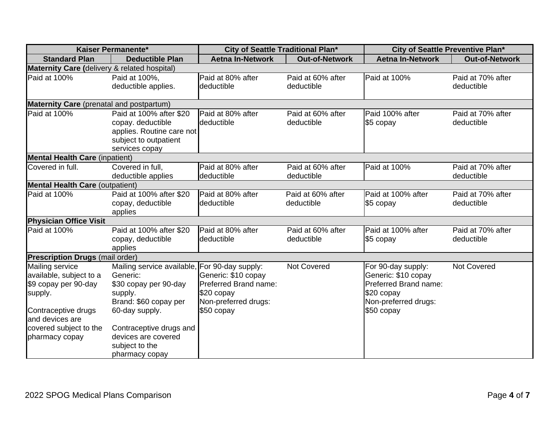| Kaiser Permanente*                              |                                               | City of Seattle Traditional Plan* |                       | City of Seattle Preventive Plan* |                       |  |  |
|-------------------------------------------------|-----------------------------------------------|-----------------------------------|-----------------------|----------------------------------|-----------------------|--|--|
| <b>Standard Plan</b>                            | <b>Deductible Plan</b>                        | <b>Aetna In-Network</b>           | <b>Out-of-Network</b> | <b>Aetna In-Network</b>          | <b>Out-of-Network</b> |  |  |
| Maternity Care (delivery & related hospital)    |                                               |                                   |                       |                                  |                       |  |  |
| Paid at 100%                                    | Paid at 100%,                                 | Paid at 80% after                 | Paid at 60% after     | Paid at 100%                     | Paid at 70% after     |  |  |
|                                                 | deductible applies.                           | deductible                        | deductible            |                                  | deductible            |  |  |
| <b>Maternity Care</b> (prenatal and postpartum) |                                               |                                   |                       |                                  |                       |  |  |
| Paid at 100%                                    | Paid at 100% after \$20                       | Paid at 80% after                 | Paid at 60% after     | Paid 100% after                  | Paid at 70% after     |  |  |
|                                                 | copay. deductible                             | deductible                        | deductible            | \$5 copay                        | deductible            |  |  |
|                                                 | applies. Routine care not                     |                                   |                       |                                  |                       |  |  |
|                                                 | subject to outpatient                         |                                   |                       |                                  |                       |  |  |
|                                                 | services copay                                |                                   |                       |                                  |                       |  |  |
| <b>Mental Health Care (inpatient)</b>           |                                               |                                   |                       |                                  |                       |  |  |
| Covered in full.                                | Covered in full.                              | Paid at 80% after                 | Paid at 60% after     | Paid at 100%                     | Paid at 70% after     |  |  |
|                                                 | deductible applies                            | deductible                        | deductible            |                                  | deductible            |  |  |
| <b>Mental Health Care (outpatient)</b>          |                                               |                                   |                       |                                  |                       |  |  |
| Paid at 100%                                    | Paid at 100% after \$20                       | Paid at 80% after                 | Paid at 60% after     | Paid at 100% after               | Paid at 70% after     |  |  |
|                                                 | copay, deductible<br>applies                  | deductible                        | deductible            | $$5$ copay                       | deductible            |  |  |
| <b>Physician Office Visit</b>                   |                                               |                                   |                       |                                  |                       |  |  |
| Paid at 100%                                    | Paid at 100% after \$20                       | Paid at 80% after                 | Paid at 60% after     | Paid at 100% after               | Paid at 70% after     |  |  |
|                                                 | copay, deductible                             | deductible                        | deductible            | \$5 copay                        | deductible            |  |  |
|                                                 | applies                                       |                                   |                       |                                  |                       |  |  |
| <b>Prescription Drugs (mail order)</b>          |                                               |                                   |                       |                                  |                       |  |  |
| Mailing service                                 | Mailing service available, For 90-day supply: |                                   | Not Covered           | For 90-day supply:               | Not Covered           |  |  |
| available, subject to a                         | Generic:                                      | Generic: \$10 copay               |                       | Generic: \$10 copay              |                       |  |  |
| \$9 copay per 90-day                            | \$30 copay per 90-day                         | Preferred Brand name:             |                       | Preferred Brand name:            |                       |  |  |
| supply.                                         | supply.                                       | \$20 copay                        |                       | \$20 copay                       |                       |  |  |
|                                                 | Brand: \$60 copay per                         | Non-preferred drugs:              |                       | Non-preferred drugs:             |                       |  |  |
| Contraceptive drugs<br>and devices are          | 60-day supply.                                | \$50 copay                        |                       | \$50 copay                       |                       |  |  |
| covered subject to the                          | Contraceptive drugs and                       |                                   |                       |                                  |                       |  |  |
| pharmacy copay                                  | devices are covered                           |                                   |                       |                                  |                       |  |  |
|                                                 | subject to the                                |                                   |                       |                                  |                       |  |  |
|                                                 | pharmacy copay                                |                                   |                       |                                  |                       |  |  |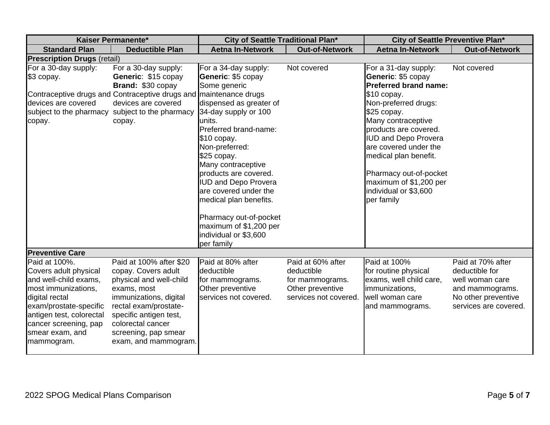| Kaiser Permanente*                                                                                                                                                                                                       |                                                                                                                                                                                                                                            | City of Seattle Traditional Plan*                                                                                                                                                                                                                                                                                                                                                                                            |                                                                                                 | City of Seattle Preventive Plan*                                                                                                                                                                                                                                                                                                                            |                                                                                                                           |
|--------------------------------------------------------------------------------------------------------------------------------------------------------------------------------------------------------------------------|--------------------------------------------------------------------------------------------------------------------------------------------------------------------------------------------------------------------------------------------|------------------------------------------------------------------------------------------------------------------------------------------------------------------------------------------------------------------------------------------------------------------------------------------------------------------------------------------------------------------------------------------------------------------------------|-------------------------------------------------------------------------------------------------|-------------------------------------------------------------------------------------------------------------------------------------------------------------------------------------------------------------------------------------------------------------------------------------------------------------------------------------------------------------|---------------------------------------------------------------------------------------------------------------------------|
| <b>Standard Plan</b>                                                                                                                                                                                                     | <b>Deductible Plan</b>                                                                                                                                                                                                                     | <b>Aetna In-Network</b>                                                                                                                                                                                                                                                                                                                                                                                                      | <b>Out-of-Network</b>                                                                           | <b>Aetna In-Network</b>                                                                                                                                                                                                                                                                                                                                     | <b>Out-of-Network</b>                                                                                                     |
| <b>Prescription Drugs (retail)</b>                                                                                                                                                                                       |                                                                                                                                                                                                                                            |                                                                                                                                                                                                                                                                                                                                                                                                                              |                                                                                                 |                                                                                                                                                                                                                                                                                                                                                             |                                                                                                                           |
| For a 30-day supply:<br>\$3 copay.<br>devices are covered<br>copay.                                                                                                                                                      | For a 30-day supply:<br>Generic: \$15 copay<br>Brand: \$30 copay<br>Contraceptive drugs and Contraceptive drugs and maintenance drugs<br>devices are covered<br>subject to the pharmacy subject to the pharmacy<br>copay.                  | For a 34-day supply:<br>Generic: \$5 copay<br>Some generic<br>dispensed as greater of<br>34-day supply or 100<br>units.<br>Preferred brand-name:<br>\$10 copay.<br>Non-preferred:<br>\$25 copay.<br>Many contraceptive<br>products are covered.<br><b>IUD and Depo Provera</b><br>are covered under the<br>medical plan benefits.<br>Pharmacy out-of-pocket<br>maximum of \$1,200 per<br>individual or \$3,600<br>per family | Not covered                                                                                     | For a 31-day supply:<br>Generic: \$5 copay<br><b>Preferred brand name:</b><br>\$10 copay.<br>Non-preferred drugs:<br>\$25 copay.<br>Many contraceptive<br>products are covered.<br><b>IUD and Depo Provera</b><br>are covered under the<br>medical plan benefit.<br>Pharmacy out-of-pocket<br>maximum of \$1,200 per<br>individual or \$3,600<br>per family | Not covered                                                                                                               |
| <b>Preventive Care</b>                                                                                                                                                                                                   |                                                                                                                                                                                                                                            |                                                                                                                                                                                                                                                                                                                                                                                                                              |                                                                                                 |                                                                                                                                                                                                                                                                                                                                                             |                                                                                                                           |
| Paid at 100%.<br>Covers adult physical<br>and well-child exams,<br>most immunizations,<br>digital rectal<br>exam/prostate-specific<br>antigen test, colorectal<br>cancer screening, pap<br>smear exam, and<br>mammogram. | Paid at 100% after \$20<br>copay. Covers adult<br>physical and well-child<br>exams, most<br>immunizations, digital<br>rectal exam/prostate-<br>specific antigen test,<br>colorectal cancer<br>screening, pap smear<br>exam, and mammogram. | Paid at 80% after<br>deductible<br>for mammograms.<br>Other preventive<br>services not covered.                                                                                                                                                                                                                                                                                                                              | Paid at 60% after<br>deductible<br>for mammograms.<br>Other preventive<br>services not covered. | Paid at 100%<br>for routine physical<br>exams, well child care,<br>immunizations,<br>well woman care<br>and mammograms.                                                                                                                                                                                                                                     | Paid at 70% after<br>deductible for<br>well woman care<br>and mammograms.<br>No other preventive<br>services are covered. |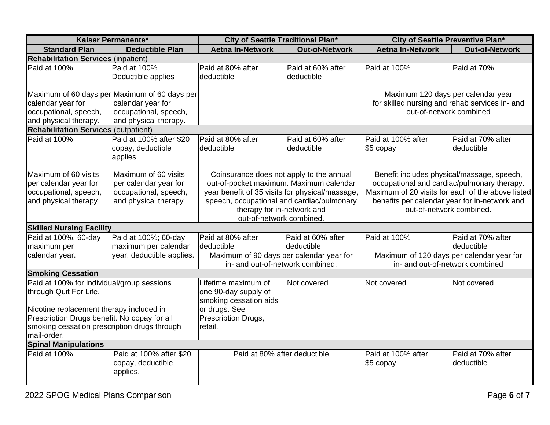| Kaiser Permanente*                            |                           | City of Seattle Traditional Plan*               |                                                                                        | City of Seattle Preventive Plan*                  |                                                |  |
|-----------------------------------------------|---------------------------|-------------------------------------------------|----------------------------------------------------------------------------------------|---------------------------------------------------|------------------------------------------------|--|
| <b>Standard Plan</b>                          | <b>Deductible Plan</b>    | <b>Aetna In-Network</b>                         | <b>Out-of-Network</b>                                                                  | <b>Aetna In-Network</b>                           | <b>Out-of-Network</b>                          |  |
| <b>Rehabilitation Services (inpatient)</b>    |                           |                                                 |                                                                                        |                                                   |                                                |  |
| Paid at 100%                                  | Paid at 100%              | Paid at 80% after                               | Paid at 60% after                                                                      | Paid at 100%                                      | Paid at 70%                                    |  |
|                                               | Deductible applies        | deductible                                      | deductible                                                                             |                                                   |                                                |  |
|                                               |                           |                                                 |                                                                                        |                                                   |                                                |  |
| Maximum of 60 days per Maximum of 60 days per |                           |                                                 |                                                                                        | Maximum 120 days per calendar year                |                                                |  |
| calendar year for                             | calendar year for         |                                                 |                                                                                        |                                                   | for skilled nursing and rehab services in- and |  |
| occupational, speech,                         | occupational, speech,     |                                                 |                                                                                        |                                                   | out-of-network combined                        |  |
| and physical therapy.                         | and physical therapy.     |                                                 |                                                                                        |                                                   |                                                |  |
| <b>Rehabilitation Services (outpatient)</b>   |                           |                                                 |                                                                                        |                                                   |                                                |  |
| Paid at 100%                                  | Paid at 100% after \$20   | Paid at 80% after                               | Paid at 60% after                                                                      | Paid at 100% after                                | Paid at 70% after                              |  |
|                                               | copay, deductible         | deductible                                      | deductible                                                                             | \$5 copay                                         | deductible                                     |  |
|                                               | applies                   |                                                 |                                                                                        |                                                   |                                                |  |
|                                               |                           |                                                 |                                                                                        |                                                   |                                                |  |
| Maximum of 60 visits                          | Maximum of 60 visits      | Coinsurance does not apply to the annual        |                                                                                        | Benefit includes physical/massage, speech,        |                                                |  |
| per calendar year for                         | per calendar year for     |                                                 | out-of-pocket maximum. Maximum calendar<br>occupational and cardiac/pulmonary therapy. |                                                   |                                                |  |
| occupational, speech,                         | occupational, speech,     | year benefit of 35 visits for physical/massage, |                                                                                        | Maximum of 20 visits for each of the above listed |                                                |  |
| and physical therapy                          | and physical therapy      | speech, occupational and cardiac/pulmonary      |                                                                                        |                                                   | benefits per calendar year for in-network and  |  |
|                                               |                           | therapy for in-network and                      |                                                                                        | out-of-network combined.                          |                                                |  |
|                                               |                           | out-of-network combined.                        |                                                                                        |                                                   |                                                |  |
| <b>Skilled Nursing Facility</b>               |                           |                                                 |                                                                                        |                                                   |                                                |  |
| Paid at 100%. 60-day                          | Paid at 100%; 60-day      | Paid at 80% after                               | Paid at 60% after                                                                      | Paid at 100%                                      | Paid at 70% after                              |  |
| maximum per                                   | maximum per calendar      | deductible                                      | deductible                                                                             |                                                   | deductible                                     |  |
| calendar year.                                | year, deductible applies. | Maximum of 90 days per calendar year for        |                                                                                        |                                                   | Maximum of 120 days per calendar year for      |  |
|                                               |                           | in- and out-of-network combined.                |                                                                                        | in- and out-of-network combined                   |                                                |  |
| <b>Smoking Cessation</b>                      |                           |                                                 |                                                                                        |                                                   |                                                |  |
| Paid at 100% for individual/group sessions    |                           | Lifetime maximum of                             | Not covered                                                                            | Not covered                                       | Not covered                                    |  |
| through Quit For Life.                        |                           | one 90-day supply of                            |                                                                                        |                                                   |                                                |  |
|                                               |                           | smoking cessation aids                          |                                                                                        |                                                   |                                                |  |
| Nicotine replacement therapy included in      |                           | or drugs. See                                   |                                                                                        |                                                   |                                                |  |
| Prescription Drugs benefit. No copay for all  |                           | Prescription Drugs,                             |                                                                                        |                                                   |                                                |  |
| smoking cessation prescription drugs through  |                           | retail.                                         |                                                                                        |                                                   |                                                |  |
| mail-order.                                   |                           |                                                 |                                                                                        |                                                   |                                                |  |
| <b>Spinal Manipulations</b>                   |                           |                                                 |                                                                                        |                                                   |                                                |  |
| Paid at 100%                                  | Paid at 100% after \$20   | Paid at 80% after deductible                    |                                                                                        | Paid at 100% after                                | Paid at 70% after                              |  |
|                                               | copay, deductible         |                                                 |                                                                                        | \$5 copay                                         | deductible                                     |  |
|                                               | applies.                  |                                                 |                                                                                        |                                                   |                                                |  |
|                                               |                           |                                                 |                                                                                        |                                                   |                                                |  |